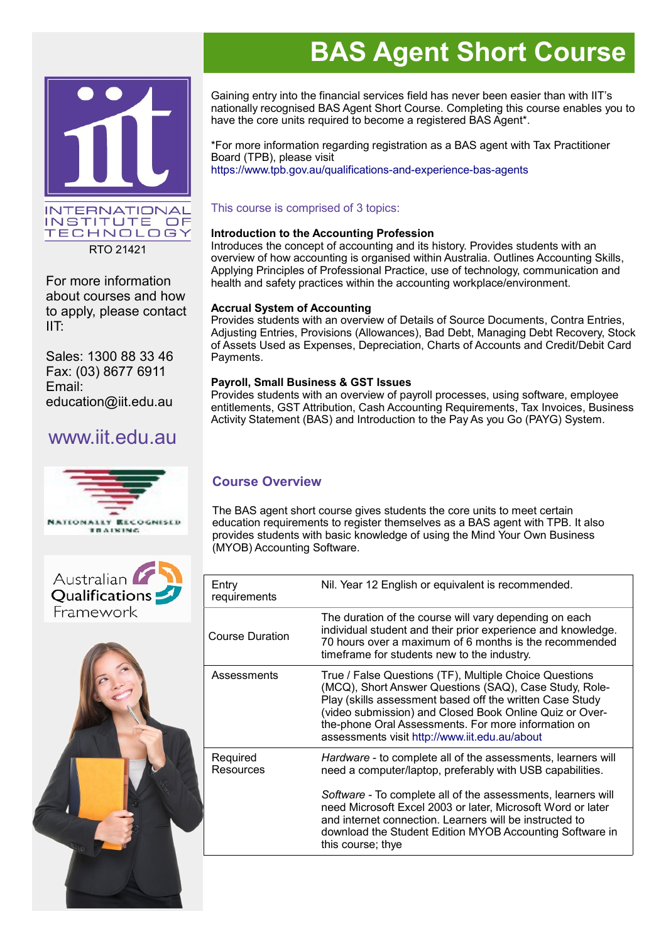

RTO 21421

For more information about courses and how to apply, please contact IIT:

Sales: 1300 88 33 46 Fax: (03) 8677 6911 Email: education@iit.edu.au

## www.iit.edu.au







# **BAS Agent Short Course**

Gaining entry into the financial services field has never been easier than with IIT's nationally recognised BAS Agent Short Course. Completing this course enables you to have the core units required to become a registered BAS Agent\*.

\*For more information regarding registration as a BAS agent with Tax Practitioner Board (TPB), please visit <https://www.tpb.gov.au/qualifications-and-experience-bas-agents>

#### This course is comprised of 3 topics:

#### **Introduction to the Accounting Profession**

Introduces the concept of accounting and its history. Provides students with an overview of how accounting is organised within Australia. Outlines Accounting Skills, Applying Principles of Professional Practice, use of technology, communication and health and safety practices within the accounting workplace/environment.

#### **Accrual System of Accounting**

Provides students with an overview of Details of Source Documents, Contra Entries, Adjusting Entries, Provisions (Allowances), Bad Debt, Managing Debt Recovery, Stock of Assets Used as Expenses, Depreciation, Charts of Accounts and Credit/Debit Card Payments.

#### **Payroll, Small Business & GST Issues**

Provides students with an overview of payroll processes, using software, employee entitlements, GST Attribution, Cash Accounting Requirements, Tax Invoices, Business Activity Statement (BAS) and Introduction to the Pay As you Go (PAYG) System.

### **Course Overview**

The BAS agent short course gives students the core units to meet certain education requirements to register themselves as a BAS agent with TPB. It also provides students with basic knowledge of using the Mind Your Own Business (MYOB) Accounting Software.

| Entry<br>requirements        | Nil. Year 12 English or equivalent is recommended.                                                                                                                                                                                                                                                                                                                                                   |
|------------------------------|------------------------------------------------------------------------------------------------------------------------------------------------------------------------------------------------------------------------------------------------------------------------------------------------------------------------------------------------------------------------------------------------------|
| Course Duration              | The duration of the course will vary depending on each<br>individual student and their prior experience and knowledge.<br>70 hours over a maximum of 6 months is the recommended<br>timeframe for students new to the industry.                                                                                                                                                                      |
| Assessments                  | True / False Questions (TF), Multiple Choice Questions<br>(MCQ), Short Answer Questions (SAQ), Case Study, Role-<br>Play (skills assessment based off the written Case Study<br>(video submission) and Closed Book Online Quiz or Over-<br>the-phone Oral Assessments. For more information on<br>assessments visit http://www.iit.edu.au/about                                                      |
| Required<br><b>Resources</b> | Hardware - to complete all of the assessments, learners will<br>need a computer/laptop, preferably with USB capabilities.<br>Software - To complete all of the assessments, learners will<br>need Microsoft Excel 2003 or later, Microsoft Word or later<br>and internet connection. Learners will be instructed to<br>download the Student Edition MYOB Accounting Software in<br>this course; thye |